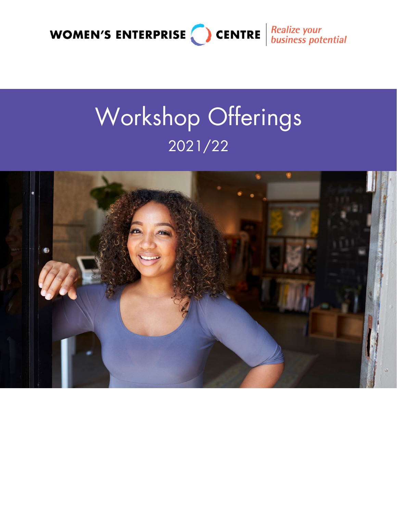

# Workshop Offerings 2021/22

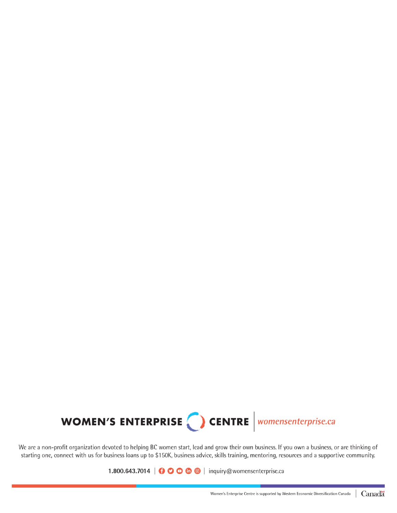

We are a non-profit organization devoted to helping BC women start, lead and grow their own business. If you own a business, or are thinking of starting one, connect with us for business loans up to \$150K, business advice, skills training, mentoring, resources and a supportive community.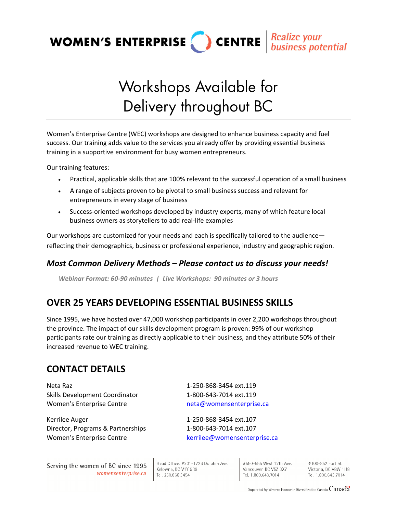

## Workshops Available for Delivery throughout BC

Women's Enterprise Centre (WEC) workshops are designed to enhance business capacity and fuel success. Our training adds value to the services you already offer by providing essential business training in a supportive environment for busy women entrepreneurs.

Our training features:

- Practical, applicable skills that are 100% relevant to the successful operation of a small business
- A range of subjects proven to be pivotal to small business success and relevant for entrepreneurs in every stage of business
- Success‐oriented workshops developed by industry experts, many of which feature local business owners as storytellers to add real‐life examples

Our workshops are customized for your needs and each is specifically tailored to the audience reflecting their demographics, business or professional experience, industry and geographic region.

#### *Most Common Delivery Methods – Please contact us to discuss your needs!*

*Webinar Format: 60‐90 minutes | Live Workshops: 90 minutes or 3 hours*

## **OVER 25 YEARS DEVELOPING ESSENTIAL BUSINESS SKILLS**

Since 1995, we have hosted over 47,000 workshop participants in over 2,200 workshops throughout the province. The impact of our skills development program is proven: 99% of our workshop participants rate our training as directly applicable to their business, and they attribute 50% of their increased revenue to WEC training.

### **CONTACT DETAILS**

Neta Raz 1‐250‐868‐3454 ext.119 Skills Development Coordinator 1‐800‐643‐7014 ext.119 Women's Enterprise Centre *Momen's* Enterprise.ca

Kerrilee Auger 1‐250‐868‐3454 ext.107 Director, Programs & Partnerships 1‐800‐643‐7014 ext.107 Women's Enterprise Centre **by Centrical Centre and Centrical Centrical Centre Centre** in Representerprise.ca

Serving the women of BC since 1995 womensenterprise.ca

Head Office: #201-1726 Dolphin Ave. Kelowna, BC V1Y 9R9 Tel. 250.868.3454

#550-555 West 12th Ave. Vancouver, BC V5Z 3X7 Tel. 1.800.643.7014

#100-852 Fort St. Victoria, BC V8W 1H8 Tel. 1.800.643.7014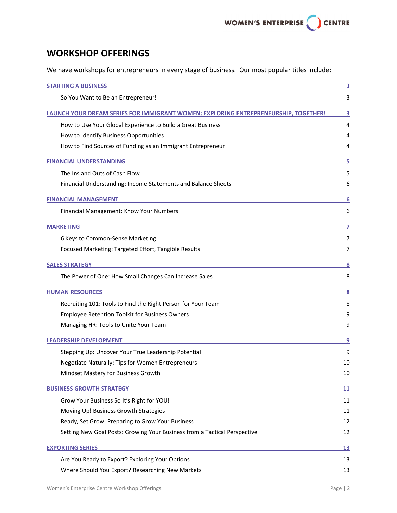## **WORKSHOP OFFERINGS**

We have workshops for entrepreneurs in every stage of business. Our most popular titles include:

| <b>STARTING A BUSINESS</b>                                                          | 3  |
|-------------------------------------------------------------------------------------|----|
| So You Want to Be an Entrepreneur!                                                  | 3  |
| LAUNCH YOUR DREAM SERIES FOR IMMIGRANT WOMEN: EXPLORING ENTREPRENEURSHIP, TOGETHER! | 3  |
| How to Use Your Global Experience to Build a Great Business                         | 4  |
| How to Identify Business Opportunities                                              | 4  |
| How to Find Sources of Funding as an Immigrant Entrepreneur                         | 4  |
| <b>FINANCIAL UNDERSTANDING</b>                                                      | 5  |
| The Ins and Outs of Cash Flow                                                       | 5  |
| Financial Understanding: Income Statements and Balance Sheets                       | 6  |
| <b>FINANCIAL MANAGEMENT</b>                                                         | 6  |
| Financial Management: Know Your Numbers                                             | 6  |
| <b>MARKETING</b>                                                                    | 7  |
| 6 Keys to Common-Sense Marketing                                                    | 7  |
| Focused Marketing: Targeted Effort, Tangible Results                                | 7  |
| <b>SALES STRATEGY</b>                                                               | 8  |
| The Power of One: How Small Changes Can Increase Sales                              | 8  |
| <b>HUMAN RESOURCES</b>                                                              | 8  |
| Recruiting 101: Tools to Find the Right Person for Your Team                        | 8  |
| <b>Employee Retention Toolkit for Business Owners</b>                               | 9  |
| Managing HR: Tools to Unite Your Team                                               | 9  |
| <b>LEADERSHIP DEVELOPMENT</b>                                                       | 9  |
| Stepping Up: Uncover Your True Leadership Potential                                 | 9  |
| <b>Negotiate Naturally: Tips for Women Entrepreneurs</b>                            | 10 |
| Mindset Mastery for Business Growth                                                 | 10 |
| <b>BUSINESS GROWTH STRATEGY</b>                                                     | 11 |
| Grow Your Business So It's Right for YOU!                                           | 11 |
| Moving Up! Business Growth Strategies                                               | 11 |
| Ready, Set Grow: Preparing to Grow Your Business                                    | 12 |
| Setting New Goal Posts: Growing Your Business from a Tactical Perspective           | 12 |
| <b>EXPORTING SERIES</b>                                                             | 13 |
| Are You Ready to Export? Exploring Your Options                                     | 13 |
| Where Should You Export? Researching New Markets                                    | 13 |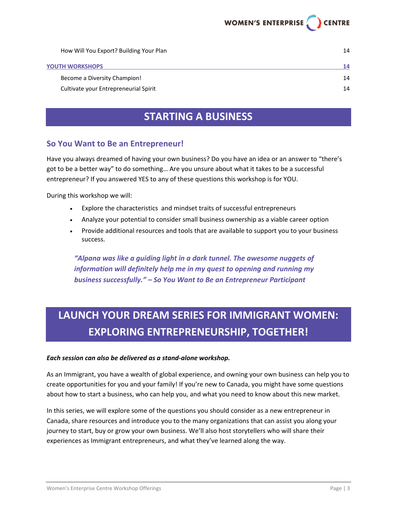| How Will You Export? Building Your Plan | 14 |
|-----------------------------------------|----|
| <b>YOUTH WORKSHOPS</b>                  | 14 |
| Become a Diversity Champion!            | 14 |
| Cultivate your Entrepreneurial Spirit   | 14 |

## **STARTING A BUSINESS**

#### **So You Want to Be an Entrepreneur!**

Have you always dreamed of having your own business? Do you have an idea or an answer to "there's got to be a better way" to do something… Are you unsure about what it takes to be a successful entrepreneur? If you answered YES to any of these questions this workshop is for YOU.

During this workshop we will:

- Explore the characteristics and mindset traits of successful entrepreneurs
- Analyze your potential to consider small business ownership as a viable career option
- Provide additional resources and tools that are available to support you to your business success.

*"Alpana was like a guiding light in a dark tunnel. The awesome nuggets of information will definitely help me in my quest to opening and running my business successfully." – So You Want to Be an Entrepreneur Participant*

## **LAUNCH YOUR DREAM SERIES FOR IMMIGRANT WOMEN: EXPLORING ENTREPRENEURSHIP, TOGETHER!**

#### *Each session can also be delivered as a stand‐alone workshop.*

As an Immigrant, you have a wealth of global experience, and owning your own business can help you to create opportunities for you and your family! If you're new to Canada, you might have some questions about how to start a business, who can help you, and what you need to know about this new market.

In this series, we will explore some of the questions you should consider as a new entrepreneur in Canada, share resources and introduce you to the many organizations that can assist you along your journey to start, buy or grow your own business. We'll also host storytellers who will share their experiences as Immigrant entrepreneurs, and what they've learned along the way.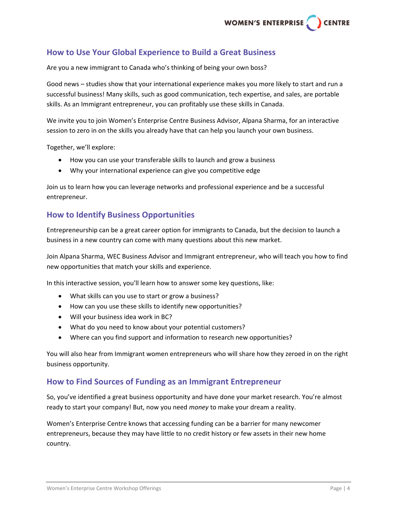#### **How to Use Your Global Experience to Build a Great Business**

Are you a new immigrant to Canada who's thinking of being your own boss?

Good news – studies show that your international experience makes you more likely to start and run a successful business! Many skills, such as good communication, tech expertise, and sales, are portable skills. As an Immigrant entrepreneur, you can profitably use these skills in Canada.

We invite you to join Women's Enterprise Centre Business Advisor, Alpana Sharma, for an interactive session to zero in on the skills you already have that can help you launch your own business.

Together, we'll explore:

- How you can use your transferable skills to launch and grow a business
- Why your international experience can give you competitive edge

Join us to learn how you can leverage networks and professional experience and be a successful entrepreneur.

#### **How to Identify Business Opportunities**

Entrepreneurship can be a great career option for immigrants to Canada, but the decision to launch a business in a new country can come with many questions about this new market.

Join Alpana Sharma, WEC Business Advisor and Immigrant entrepreneur, who will teach you how to find new opportunities that match your skills and experience.

In this interactive session, you'll learn how to answer some key questions, like:

- What skills can you use to start or grow a business?
- How can you use these skills to identify new opportunities?
- Will your business idea work in BC?
- What do you need to know about your potential customers?
- Where can you find support and information to research new opportunities?

You will also hear from Immigrant women entrepreneurs who will share how they zeroed in on the right business opportunity.

#### **How to Find Sources of Funding as an Immigrant Entrepreneur**

So, you've identified a great business opportunity and have done your market research. You're almost ready to start your company! But, now you need *money* to make your dream a reality.

Women's Enterprise Centre knows that accessing funding can be a barrier for many newcomer entrepreneurs, because they may have little to no credit history or few assets in their new home country.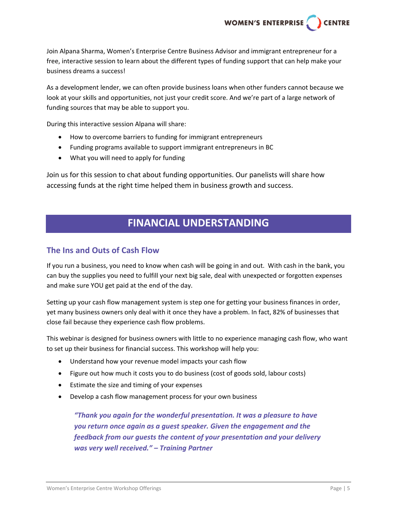Join Alpana Sharma, Women's Enterprise Centre Business Advisor and immigrant entrepreneur for a free, interactive session to learn about the different types of funding support that can help make your business dreams a success!

As a development lender, we can often provide business loans when other funders cannot because we look at your skills and opportunities, not just your credit score. And we're part of a large network of funding sources that may be able to support you.

During this interactive session Alpana will share:

- How to overcome barriers to funding for immigrant entrepreneurs
- Funding programs available to support immigrant entrepreneurs in BC
- What you will need to apply for funding

Join us for this session to chat about funding opportunities. Our panelists will share how accessing funds at the right time helped them in business growth and success.

## **FINANCIAL UNDERSTANDING**

#### **The Ins and Outs of Cash Flow**

If you run a business, you need to know when cash will be going in and out. With cash in the bank, you can buy the supplies you need to fulfill your next big sale, deal with unexpected or forgotten expenses and make sure YOU get paid at the end of the day.

Setting up your cash flow management system is step one for getting your business finances in order, yet many business owners only deal with it once they have a problem. In fact, 82% of businesses that close fail because they experience cash flow problems.

This webinar is designed for business owners with little to no experience managing cash flow, who want to set up their business for financial success. This workshop will help you:

- Understand how your revenue model impacts your cash flow
- Figure out how much it costs you to do business (cost of goods sold, labour costs)
- Estimate the size and timing of your expenses
- Develop a cash flow management process for your own business

*"Thank you again for the wonderful presentation. It was a pleasure to have you return once again as a guest speaker. Given the engagement and the feedback from our guests the content of your presentation and your delivery was very well received." – Training Partner*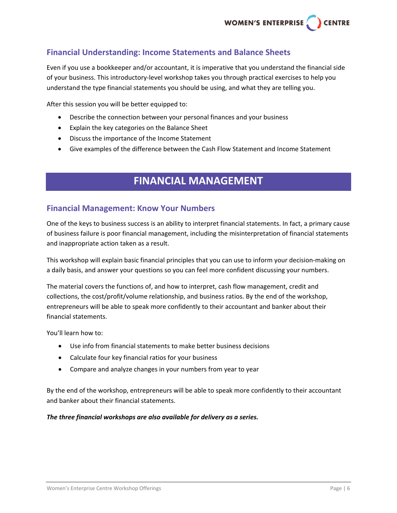#### **Financial Understanding: Income Statements and Balance Sheets**

Even if you use a bookkeeper and/or accountant, it is imperative that you understand the financial side of your business. This introductory‐level workshop takes you through practical exercises to help you understand the type financial statements you should be using, and what they are telling you.

After this session you will be better equipped to:

- Describe the connection between your personal finances and your business
- Explain the key categories on the Balance Sheet
- Discuss the importance of the Income Statement
- Give examples of the difference between the Cash Flow Statement and Income Statement

## **FINANCIAL MANAGEMENT**

#### **Financial Management: Know Your Numbers**

One of the keys to business success is an ability to interpret financial statements. In fact, a primary cause of business failure is poor financial management, including the misinterpretation of financial statements and inappropriate action taken as a result.

This workshop will explain basic financial principles that you can use to inform your decision-making on a daily basis, and answer your questions so you can feel more confident discussing your numbers.

The material covers the functions of, and how to interpret, cash flow management, credit and collections, the cost/profit/volume relationship, and business ratios. By the end of the workshop, entrepreneurs will be able to speak more confidently to their accountant and banker about their financial statements.

You'll learn how to:

- Use info from financial statements to make better business decisions
- Calculate four key financial ratios for your business
- Compare and analyze changes in your numbers from year to year

By the end of the workshop, entrepreneurs will be able to speak more confidently to their accountant and banker about their financial statements.

#### *The three financial workshops are also available for delivery as a series.*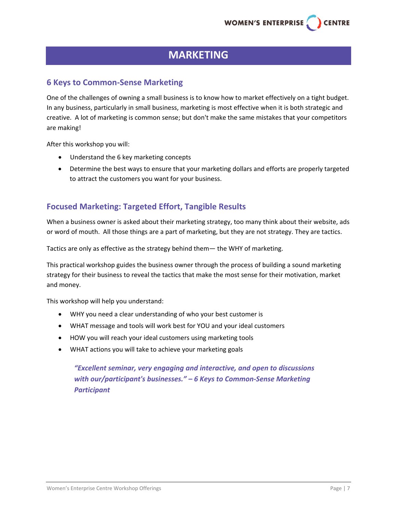## **MARKETING**

#### **6 Keys to Common‐Sense Marketing**

One of the challenges of owning a small business is to know how to market effectively on a tight budget. In any business, particularly in small business, marketing is most effective when it is both strategic and creative. A lot of marketing is common sense; but don't make the same mistakes that your competitors are making!

After this workshop you will:

- Understand the 6 key marketing concepts
- Determine the best ways to ensure that your marketing dollars and efforts are properly targeted to attract the customers you want for your business.

#### **Focused Marketing: Targeted Effort, Tangible Results**

When a business owner is asked about their marketing strategy, too many think about their website, ads or word of mouth. All those things are a part of marketing, but they are not strategy. They are tactics.

Tactics are only as effective as the strategy behind them— the WHY of marketing.

This practical workshop guides the business owner through the process of building a sound marketing strategy for their business to reveal the tactics that make the most sense for their motivation, market and money.

This workshop will help you understand:

- WHY you need a clear understanding of who your best customer is
- WHAT message and tools will work best for YOU and your ideal customers
- HOW you will reach your ideal customers using marketing tools
- WHAT actions you will take to achieve your marketing goals

*"Excellent seminar, very engaging and interactive, and open to discussions with our/participant's businesses." – 6 Keys to Common‐Sense Marketing Participant*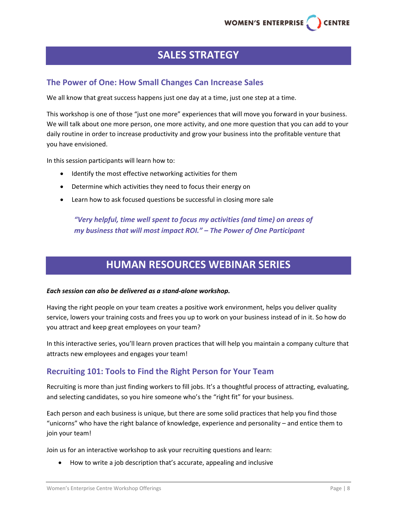## **SALES STRATEGY**

#### **The Power of One: How Small Changes Can Increase Sales**

We all know that great success happens just one day at a time, just one step at a time.

This workshop is one of those "just one more" experiences that will move you forward in your business. We will talk about one more person, one more activity, and one more question that you can add to your daily routine in order to increase productivity and grow your business into the profitable venture that you have envisioned.

In this session participants will learn how to:

- Identify the most effective networking activities for them
- Determine which activities they need to focus their energy on
- Learn how to ask focused questions be successful in closing more sale

*"Very helpful, time well spent to focus my activities (and time) on areas of my business that will most impact ROI." – The Power of One Participant*

## **HUMAN RESOURCES WEBINAR SERIES**

#### *Each session can also be delivered as a stand‐alone workshop.*

Having the right people on your team creates a positive work environment, helps you deliver quality service, lowers your training costs and frees you up to work on your business instead of in it. So how do you attract and keep great employees on your team?

In this interactive series, you'll learn proven practices that will help you maintain a company culture that attracts new employees and engages your team!

#### **Recruiting 101: Tools to Find the Right Person for Your Team**

Recruiting is more than just finding workers to fill jobs. It's a thoughtful process of attracting, evaluating, and selecting candidates, so you hire someone who's the "right fit" for your business.

Each person and each business is unique, but there are some solid practices that help you find those "unicorns" who have the right balance of knowledge, experience and personality – and entice them to join your team!

Join us for an interactive workshop to ask your recruiting questions and learn:

How to write a job description that's accurate, appealing and inclusive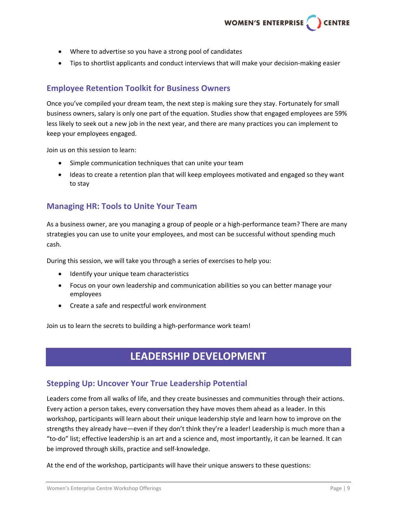- Where to advertise so you have a strong pool of candidates
- Tips to shortlist applicants and conduct interviews that will make your decision-making easier

#### **Employee Retention Toolkit for Business Owners**

Once you've compiled your dream team, the next step is making sure they stay. Fortunately for small business owners, salary is only one part of the equation. Studies show that engaged employees are 59% less likely to seek out a new job in the next year, and there are many practices you can implement to keep your employees engaged.

Join us on this session to learn:

- Simple communication techniques that can unite your team
- Ideas to create a retention plan that will keep employees motivated and engaged so they want to stay

#### **Managing HR: Tools to Unite Your Team**

As a business owner, are you managing a group of people or a high-performance team? There are many strategies you can use to unite your employees, and most can be successful without spending much cash.

During this session, we will take you through a series of exercises to help you:

- Identify your unique team characteristics
- Focus on your own leadership and communication abilities so you can better manage your employees
- Create a safe and respectful work environment

Join us to learn the secrets to building a high‐performance work team!

## **LEADERSHIP DEVELOPMENT**

#### **Stepping Up: Uncover Your True Leadership Potential**

Leaders come from all walks of life, and they create businesses and communities through their actions. Every action a person takes, every conversation they have moves them ahead as a leader. In this workshop, participants will learn about their unique leadership style and learn how to improve on the strengths they already have—even if they don't think they're a leader! Leadership is much more than a "to‐do" list; effective leadership is an art and a science and, most importantly, it can be learned. It can be improved through skills, practice and self‐knowledge.

At the end of the workshop, participants will have their unique answers to these questions: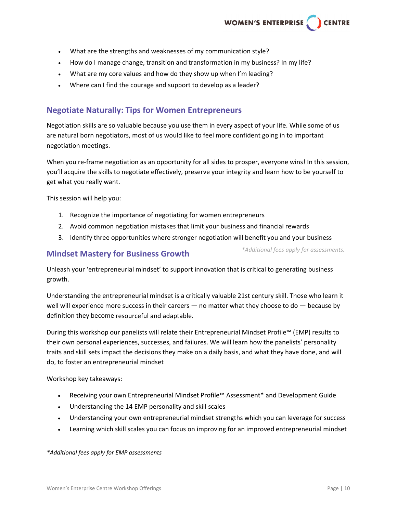- What are the strengths and weaknesses of my communication style?
- How do I manage change, transition and transformation in my business? In my life?
- What are my core values and how do they show up when I'm leading?
- Where can I find the courage and support to develop as a leader?

#### **Negotiate Naturally: Tips for Women Entrepreneurs**

Negotiation skills are so valuable because you use them in every aspect of your life. While some of us are natural born negotiators, most of us would like to feel more confident going in to important negotiation meetings.

When you re-frame negotiation as an opportunity for all sides to prosper, everyone wins! In this session, you'll acquire the skills to negotiate effectively, preserve your integrity and learn how to be yourself to get what you really want.

This session will help you:

- 1. Recognize the importance of negotiating for women entrepreneurs
- 2. Avoid common negotiation mistakes that limit your business and financial rewards
- 3. Identify three opportunities where stronger negotiation will benefit you and your business

#### **Mindset Mastery for Business Growth**

*\*Additional fees apply for assessments.*

Unleash your 'entrepreneurial mindset' to support innovation that is critical to generating business growth.

Understanding the entrepreneurial mindset is a critically valuable 21st century skill. Those who learn it well will experience more success in their careers — no matter what they choose to do — because by definition they become resourceful and adaptable.

During this workshop our panelists will relate their Entrepreneurial Mindset Profile™ (EMP) results to their own personal experiences, successes, and failures. We will learn how the panelists' personality traits and skill sets impact the decisions they make on a daily basis, and what they have done, and will do, to foster an entrepreneurial mindset

Workshop key takeaways:

- Receiving your own Entrepreneurial Mindset Profile™ Assessment\* and Development Guide
- Understanding the 14 EMP personality and skill scales
- Understanding your own entrepreneurial mindset strengths which you can leverage for success
- Learning which skill scales you can focus on improving for an improved entrepreneurial mindset

#### *\*Additional fees apply for EMP assessments*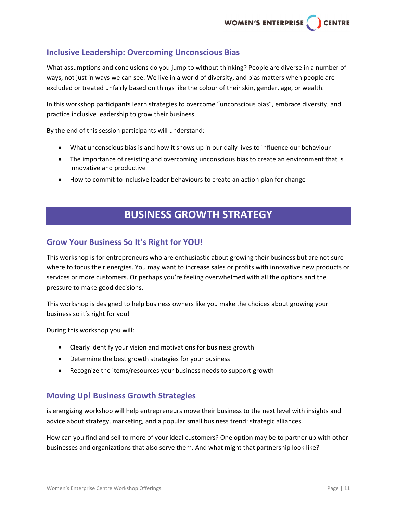#### **Inclusive Leadership: Overcoming Unconscious Bias**

What assumptions and conclusions do you jump to without thinking? People are diverse in a number of ways, not just in ways we can see. We live in a world of diversity, and bias matters when people are excluded or treated unfairly based on things like the colour of their skin, gender, age, or wealth.

In this workshop participants learn strategies to overcome "unconscious bias", embrace diversity, and practice inclusive leadership to grow their business.

By the end of this session participants will understand:

- What unconscious bias is and how it shows up in our daily lives to influence our behaviour
- The importance of resisting and overcoming unconscious bias to create an environment that is innovative and productive
- How to commit to inclusive leader behaviours to create an action plan for change

## **BUSINESS GROWTH STRATEGY**

#### **Grow Your Business So It's Right for YOU!**

This workshop is for entrepreneurs who are enthusiastic about growing their business but are not sure where to focus their energies. You may want to increase sales or profits with innovative new products or services or more customers. Or perhaps you're feeling overwhelmed with all the options and the pressure to make good decisions.

This workshop is designed to help business owners like you make the choices about growing your business so it's right for you!

During this workshop you will:

- Clearly identify your vision and motivations for business growth
- Determine the best growth strategies for your business
- Recognize the items/resources your business needs to support growth

#### **Moving Up! Business Growth Strategies**

is energizing workshop will help entrepreneurs move their business to the next level with insights and advice about strategy, marketing, and a popular small business trend: strategic alliances.

How can you find and sell to more of your ideal customers? One option may be to partner up with other businesses and organizations that also serve them. And what might that partnership look like?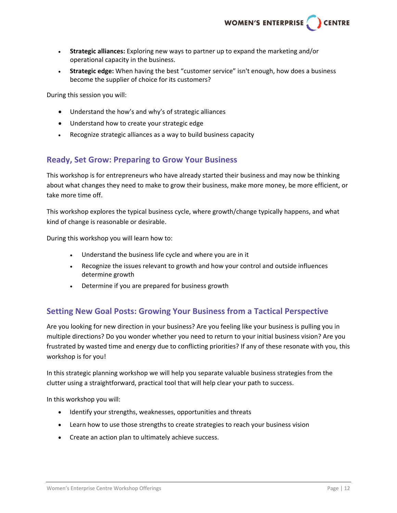

- **Strategic alliances:** Exploring new ways to partner up to expand the marketing and/or operational capacity in the business.
- **Strategic edge:** When having the best "customer service" isn't enough, how does a business become the supplier of choice for its customers?

During this session you will:

- Understand the how's and why's of strategic alliances
- Understand how to create your strategic edge
- Recognize strategic alliances as a way to build business capacity

#### **Ready, Set Grow: Preparing to Grow Your Business**

This workshop is for entrepreneurs who have already started their business and may now be thinking about what changes they need to make to grow their business, make more money, be more efficient, or take more time off.

This workshop explores the typical business cycle, where growth/change typically happens, and what kind of change is reasonable or desirable.

During this workshop you will learn how to:

- Understand the business life cycle and where you are in it
- Recognize the issues relevant to growth and how your control and outside influences determine growth
- Determine if you are prepared for business growth

#### **Setting New Goal Posts: Growing Your Business from a Tactical Perspective**

Are you looking for new direction in your business? Are you feeling like your business is pulling you in multiple directions? Do you wonder whether you need to return to your initial business vision? Are you frustrated by wasted time and energy due to conflicting priorities? If any of these resonate with you, this workshop is for you!

In this strategic planning workshop we will help you separate valuable business strategies from the clutter using a straightforward, practical tool that will help clear your path to success.

In this workshop you will:

- Identify your strengths, weaknesses, opportunities and threats
- Learn how to use those strengths to create strategies to reach your business vision
- Create an action plan to ultimately achieve success.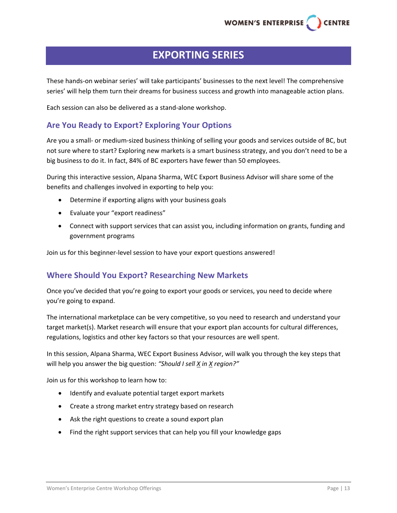## **EXPORTING SERIES**

These hands‐on webinar series' will take participants' businesses to the next level! The comprehensive series' will help them turn their dreams for business success and growth into manageable action plans.

Each session can also be delivered as a stand‐alone workshop.

#### **Are You Ready to Export? Exploring Your Options**

Are you a small‐ or medium‐sized business thinking of selling your goods and services outside of BC, but not sure where to start? Exploring new markets is a smart business strategy, and you don't need to be a big business to do it. In fact, 84% of BC exporters have fewer than 50 employees.

During this interactive session, Alpana Sharma, WEC Export Business Advisor will share some of the benefits and challenges involved in exporting to help you:

- Determine if exporting aligns with your business goals
- Evaluate your "export readiness"
- Connect with support services that can assist you, including information on grants, funding and government programs

Join us for this beginner‐level session to have your export questions answered!

#### **Where Should You Export? Researching New Markets**

Once you've decided that you're going to export your goods or services, you need to decide where you're going to expand.

The international marketplace can be very competitive, so you need to research and understand your target market(s). Market research will ensure that your export plan accounts for cultural differences, regulations, logistics and other key factors so that your resources are well spent.

In this session, Alpana Sharma, WEC Export Business Advisor, will walk you through the key steps that will help you answer the big question: *"Should I sell X in X region?"*

Join us for this workshop to learn how to:

- Identify and evaluate potential target export markets
- Create a strong market entry strategy based on research
- Ask the right questions to create a sound export plan
- Find the right support services that can help you fill your knowledge gaps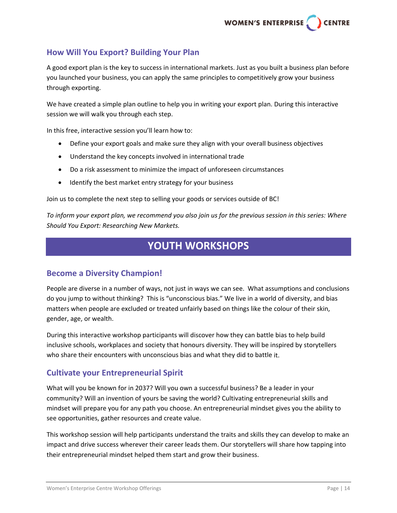#### **How Will You Export? Building Your Plan**

A good export plan is the key to success in international markets. Just as you built a business plan before you launched your business, you can apply the same principles to competitively grow your business through exporting.

We have created a simple plan outline to help you in writing your export plan. During this interactive session we will walk you through each step.

In this free, interactive session you'll learn how to:

- Define your export goals and make sure they align with your overall business objectives
- Understand the key concepts involved in international trade
- Do a risk assessment to minimize the impact of unforeseen circumstances
- Identify the best market entry strategy for your business

Join us to complete the next step to selling your goods or services outside of BC!

To inform your export plan, we recommend you also join us for the previous session in this series: Where *Should You Export: Researching New Markets.*

## **YOUTH WORKSHOPS**

#### **Become a Diversity Champion!**

People are diverse in a number of ways, not just in ways we can see. What assumptions and conclusions do you jump to without thinking? This is "unconscious bias." We live in a world of diversity, and bias matters when people are excluded or treated unfairly based on things like the colour of their skin, gender, age, or wealth.

During this interactive workshop participants will discover how they can battle bias to help build inclusive schools, workplaces and society that honours diversity. They will be inspired by storytellers who share their encounters with unconscious bias and what they did to battle it.

#### **Cultivate your Entrepreneurial Spirit**

What will you be known for in 2037? Will you own a successful business? Be a leader in your community? Will an invention of yours be saving the world? Cultivating entrepreneurial skills and mindset will prepare you for any path you choose. An entrepreneurial mindset gives you the ability to see opportunities, gather resources and create value.

This workshop session will help participants understand the traits and skills they can develop to make an impact and drive success wherever their career leads them. Our storytellers will share how tapping into their entrepreneurial mindset helped them start and grow their business.